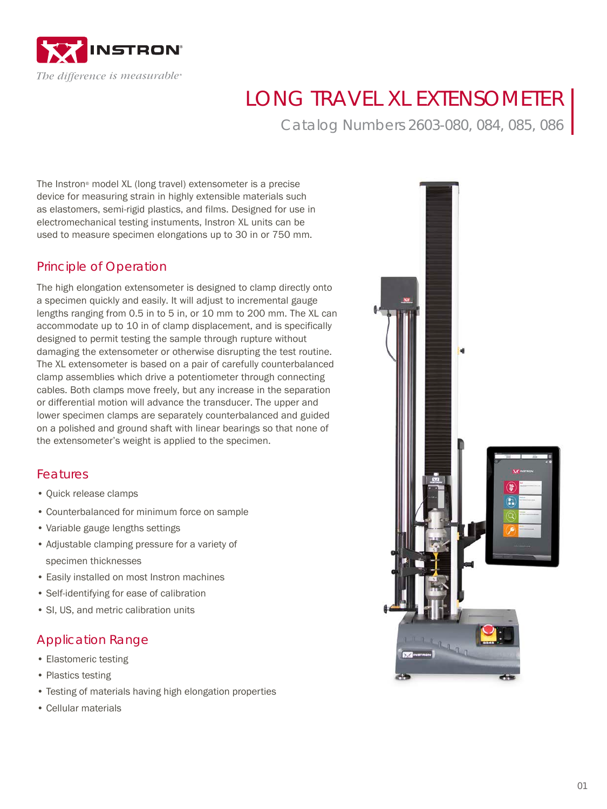

# LONG TRAVEL XL EXTENSOMETER

Catalog Numbers 2603-080, 084, 085, 086

The Instron® model XL (long travel) extensometer is a precise device for measuring strain in highly extensible materials such as elastomers, semi-rigid plastics, and films. Designed for use in electromechanical testing instuments, Instron XL units can be used to measure specimen elongations up to 30 in or 750 mm.

### Principle of Operation

The high elongation extensometer is designed to clamp directly onto a specimen quickly and easily. It will adjust to incremental gauge lengths ranging from 0.5 in to 5 in, or 10 mm to 200 mm. The XL can accommodate up to 10 in of clamp displacement, and is specifically designed to permit testing the sample through rupture without damaging the extensometer or otherwise disrupting the test routine. The XL extensometer is based on a pair of carefully counterbalanced clamp assemblies which drive a potentiometer through connecting cables. Both clamps move freely, but any increase in the separation or differential motion will advance the transducer. The upper and lower specimen clamps are separately counterbalanced and guided on a polished and ground shaft with linear bearings so that none of the extensometer's weight is applied to the specimen.

#### Features

- Quick release clamps
- Counterbalanced for minimum force on sample
- Variable gauge lengths settings
- Adjustable clamping pressure for a variety of specimen thicknesses
- Easily installed on most Instron machines
- Self-identifying for ease of calibration
- SI, US, and metric calibration units

#### Application Range

- Elastomeric testing
- Plastics testing
- Testing of materials having high elongation properties
- Cellular materials